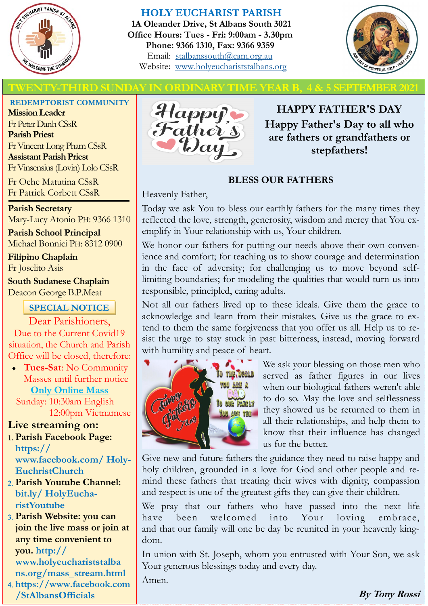

#### **HOLY EUCHARIST PARISH**

**1A Oleander Drive, St Albans South 3021 Office Hours: Tues - Fri: 9:00am - 3.30pm Phone: 9366 1310, Fax: 9366 9359** Email: [stalbanssouth@cam.org.au](mailto:stalbanssouth@cam.org.au) Website:[www.holyeuchariststalbans.org](http://www.holyeuchariststalbans.org)



#### **TWENTY-THIRD SUNDAY IN ORDINARY TIME YEAR B, 4 & 5 SEPTEMBER2021**

#### **REDEMPTORIST COMMUNITY**

**Mission Leader** Fr Peter Danh CSsR **Parish Priest** Fr Vincent Long Pham CSsR **Assistant Parish Priest**  Fr Vinsensius (Lovin) Lolo CSsR

Fr Oche Matutina CSsR Fr Patrick Corbett CSsR

**Parish Secretary** Mary-Lucy Atonio PH: 9366 1310

**Parish School Principal** Michael Bonnici PH: 8312 0900

**Filipino Chaplain** Fr Joselito Asis

**South Sudanese Chaplain** Deacon George B.P.Meat

**SPECIAL NOTICE**

Dear Parishioners, Due to the Current Covid19 situation, the Church and Parish Office will be closed, therefore:

 **Tues-Sat**: No Community Masses until further notice **Only Online Mass** 

 Sunday: 10:30am English 12:00pm Vietnamese

#### **Live streaming on:**

- **Parish Facebook Page: https:// www.facebook.com/ Holy-EuchristChurch**
- **Parish Youtube Channel: bit.ly/ HolyEucharistYoutube**

 **Parish Website: you can join the live mass or join at any time convenient to you. http:// www.holyeuchariststalba ns.org/mass\_stream.html**

 **https://www.facebook.com /StAlbansOfficials** 



## **HAPPY FATHER'S DAY Happy Father's Day to all who are fathers or grandfathers or stepfathers!**

#### **BLESS OUR FATHERS**

Heavenly Father,

Today we ask You to bless our earthly fathers for the many times they reflected the love, strength, generosity, wisdom and mercy that You exemplify in Your relationship with us, Your children.

We honor our fathers for putting our needs above their own convenience and comfort; for teaching us to show courage and determination in the face of adversity; for challenging us to move beyond selflimiting boundaries; for modeling the qualities that would turn us into responsible, principled, caring adults.

Not all our fathers lived up to these ideals. Give them the grace to acknowledge and learn from their mistakes. Give us the grace to extend to them the same forgiveness that you offer us all. Help us to resist the urge to stay stuck in past bitterness, instead, moving forward with humility and peace of heart.



We ask your blessing on those men who served as father figures in our lives when our biological fathers weren't able to do so. May the love and selflessness they showed us be returned to them in all their relationships, and help them to know that their influence has changed us for the better.

Give new and future fathers the guidance they need to raise happy and holy children, grounded in a love for God and other people and remind these fathers that treating their wives with dignity, compassion and respect is one of the greatest gifts they can give their children.

We pray that our fathers who have passed into the next life have been welcomed into Your loving embrace, and that our family will one be day be reunited in your heavenly kingdom.

In union with St. Joseph, whom you entrusted with Your Son, we ask Your generous blessings today and every day.

Amen.

**By Tony Rossi**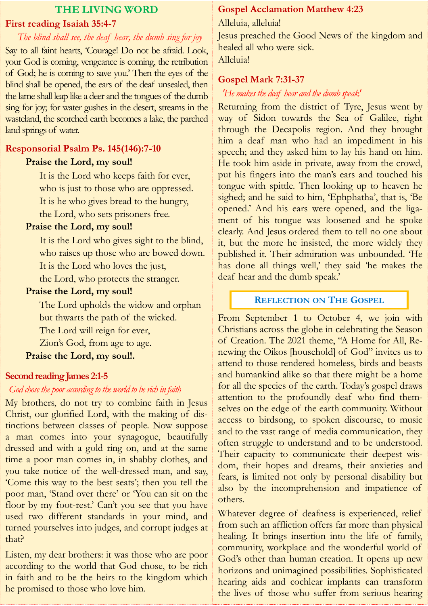## **THE LIVING WORD**

#### **First reading Isaiah 35:4-7**

#### *The blind shall see, the deaf hear, the dumb sing for joy*

Say to all faint hearts, 'Courage! Do not be afraid. Look, your God is coming, vengeance is coming, the retribution of God; he is coming to save you.' Then the eyes of the blind shall be opened, the ears of the deaf unsealed, then the lame shall leap like a deer and the tongues of the dumb sing for joy; for water gushes in the desert, streams in the wasteland, the scorched earth becomes a lake, the parched land springs of water.

## **Responsorial Psalm Ps. 145(146):7-10**

## **Praise the Lord, my soul!**

It is the Lord who keeps faith for ever, who is just to those who are oppressed. It is he who gives bread to the hungry, the Lord, who sets prisoners free.

#### **Praise the Lord, my soul!**

It is the Lord who gives sight to the blind, who raises up those who are bowed down. It is the Lord who loves the just,

the Lord, who protects the stranger.

#### **Praise the Lord, my soul!**

The Lord upholds the widow and orphan but thwarts the path of the wicked. The Lord will reign for ever, Zion's God, from age to age. **Praise the Lord, my soul!.**

#### **Second reading James 2:1-5**

#### *God chose the poor according to the world to be rich in faith*

My brothers, do not try to combine faith in Jesus Christ, our glorified Lord, with the making of distinctions between classes of people. Now suppose a man comes into your synagogue, beautifully dressed and with a gold ring on, and at the same time a poor man comes in, in shabby clothes, and you take notice of the well-dressed man, and say, 'Come this way to the best seats'; then you tell the poor man, 'Stand over there' or 'You can sit on the floor by my foot-rest.' Can't you see that you have used two different standards in your mind, and turned yourselves into judges, and corrupt judges at that?

Listen, my dear brothers: it was those who are poor according to the world that God chose, to be rich in faith and to be the heirs to the kingdom which he promised to those who love him.

## **Gospel Acclamation Matthew 4:23**

Alleluia, alleluia!

Jesus preached the Good News of the kingdom and healed all who were sick. Alleluia!

## **Gospel Mark 7:31-37**

#### *'He makes the deaf hear and the dumb speak'*

Returning from the district of Tyre, Jesus went by way of Sidon towards the Sea of Galilee, right through the Decapolis region. And they brought him a deaf man who had an impediment in his speech; and they asked him to lay his hand on him. He took him aside in private, away from the crowd, put his fingers into the man's ears and touched his tongue with spittle. Then looking up to heaven he sighed; and he said to him, 'Ephphatha', that is, 'Be opened.' And his ears were opened, and the ligament of his tongue was loosened and he spoke clearly. And Jesus ordered them to tell no one about it, but the more he insisted, the more widely they published it. Their admiration was unbounded. 'He has done all things well,' they said 'he makes the deaf hear and the dumb speak.'

## **REFLECTION ON THE GOSPEL**

From September 1 to October 4, we join with Christians across the globe in celebrating the Season of Creation. The 2021 theme, "A Home for All, Renewing the Oikos [household] of God" invites us to attend to those rendered homeless, birds and beasts and humankind alike so that there might be a home for all the species of the earth. Today's gospel draws attention to the profoundly deaf who find themselves on the edge of the earth community. Without access to birdsong, to spoken discourse, to music and to the vast range of media communication, they often struggle to understand and to be understood. Their capacity to communicate their deepest wisdom, their hopes and dreams, their anxieties and fears, is limited not only by personal disability but also by the incomprehension and impatience of others.

Whatever degree of deafness is experienced, relief from such an affliction offers far more than physical healing. It brings insertion into the life of family, community, workplace and the wonderful world of God's other than human creation. It opens up new horizons and unimagined possibilities. Sophisticated hearing aids and cochlear implants can transform the lives of those who suffer from serious hearing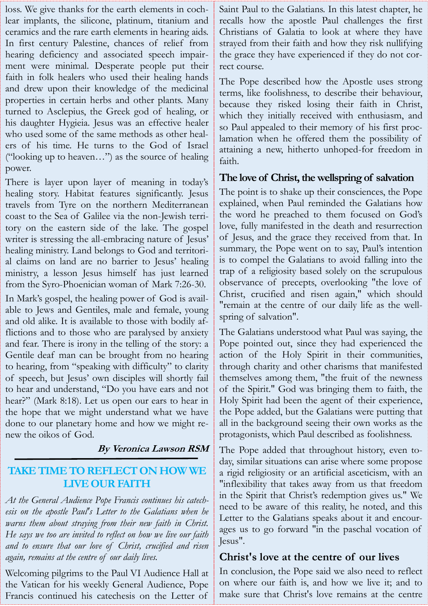loss. We give thanks for the earth elements in cochlear implants, the silicone, platinum, titanium and ceramics and the rare earth elements in hearing aids. In first century Palestine, chances of relief from hearing deficiency and associated speech impairment were minimal. Desperate people put their faith in folk healers who used their healing hands and drew upon their knowledge of the medicinal properties in certain herbs and other plants. Many turned to Asclepius, the Greek god of healing, or his daughter Hygieia. Jesus was an effective healer who used some of the same methods as other healers of his time. He turns to the God of Israel ("looking up to heaven…") as the source of healing power.

There is layer upon layer of meaning in today's healing story. Habitat features significantly. Jesus travels from Tyre on the northern Mediterranean coast to the Sea of Galilee via the non-Jewish territory on the eastern side of the lake. The gospel writer is stressing the all-embracing nature of Jesus' healing ministry. Land belongs to God and territorial claims on land are no barrier to Jesus' healing ministry, a lesson Jesus himself has just learned from the Syro-Phoenician woman of Mark 7:26-30.

In Mark's gospel, the healing power of God is available to Jews and Gentiles, male and female, young and old alike. It is available to those with bodily afflictions and to those who are paralysed by anxiety and fear. There is irony in the telling of the story: a Gentile deaf man can be brought from no hearing to hearing, from "speaking with difficulty" to clarity of speech, but Jesus' own disciples will shortly fail to hear and understand, "Do you have ears and not hear?" (Mark 8:18). Let us open our ears to hear in the hope that we might understand what we have done to our planetary home and how we might renew the oikos of God.

#### **By Veronica Lawson RSM**

#### **TAKE TIME TO REFLECT ON HOW WE LIVE OUR FAITH**

*At the General Audience Pope Francis continues his catechesis on the apostle Paul's Letter to the Galatians when he warns them about straying from their new faith in Christ. He says we too are invited to reflect on how we live our faith and to ensure that our love of Christ, crucified and risen again, remains at the centre of our daily lives.*

Welcoming pilgrims to the Paul VI Audience Hall at the Vatican for his weekly General Audience, Pope Francis continued his catechesis on the Letter of

Saint Paul to the Galatians. In this latest chapter, he recalls how the apostle Paul challenges the first Christians of Galatia to look at where they have strayed from their faith and how they risk nullifying the grace they have experienced if they do not correct course.

The Pope described how the Apostle uses strong terms, like foolishness, to describe their behaviour, because they risked losing their faith in Christ, which they initially received with enthusiasm, and so Paul appealed to their memory of his first proclamation when he offered them the possibility of attaining a new, hitherto unhoped-for freedom in faith.

#### **The love of Christ, the wellspring of salvation**

The point is to shake up their consciences, the Pope explained, when Paul reminded the Galatians how the word he preached to them focused on God's love, fully manifested in the death and resurrection of Jesus, and the grace they received from that. In summary, the Pope went on to say, Paul's intention is to compel the Galatians to avoid falling into the trap of a religiosity based solely on the scrupulous observance of precepts, overlooking "the love of Christ, crucified and risen again," which should "remain at the centre of our daily life as the wellspring of salvation".

The Galatians understood what Paul was saying, the Pope pointed out, since they had experienced the action of the Holy Spirit in their communities, through charity and other charisms that manifested themselves among them, "the fruit of the newness of the Spirit." God was bringing them to faith, the Holy Spirit had been the agent of their experience, the Pope added, but the Galatians were putting that all in the background seeing their own works as the protagonists, which Paul described as foolishness.

The Pope added that throughout history, even today, similar situations can arise where some propose a rigid religiosity or an artificial asceticism, with an "inflexibility that takes away from us that freedom in the Spirit that Christ's redemption gives us." We need to be aware of this reality, he noted, and this Letter to the Galatians speaks about it and encourages us to go forward "in the paschal vocation of Jesus".

#### **Christ's love at the centre of our lives**

In conclusion, the Pope said we also need to reflect on where our faith is, and how we live it; and to make sure that Christ's love remains at the centre